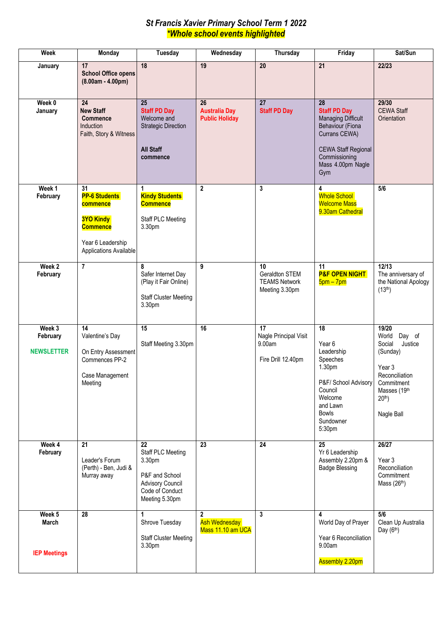### *St Francis Xavier Primary School Term 1 2022 \*Whole school events highlighted*

| Week                                          | Monday                                                                                                                       | Tuesday                                                                                                             | Wednesday                                                 | Thursday                                                       | Friday                                                                                                                                                                 | Sat/Sun                                                                                                                                                  |
|-----------------------------------------------|------------------------------------------------------------------------------------------------------------------------------|---------------------------------------------------------------------------------------------------------------------|-----------------------------------------------------------|----------------------------------------------------------------|------------------------------------------------------------------------------------------------------------------------------------------------------------------------|----------------------------------------------------------------------------------------------------------------------------------------------------------|
| January                                       | 17<br><b>School Office opens</b><br>$(8.00am - 4.00pm)$                                                                      | 18                                                                                                                  | 19                                                        | 20                                                             | 21                                                                                                                                                                     | 22/23                                                                                                                                                    |
| Week 0<br>January                             | 24<br><b>New Staff</b><br><b>Commence</b><br>Induction<br>Faith, Story & Witness                                             | 25<br><b>Staff PD Day</b><br>Welcome and<br><b>Strategic Direction</b><br><b>All Staff</b><br>commence              | 26<br><b>Australia Day</b><br><b>Public Holiday</b>       | 27<br><b>Staff PD Day</b>                                      | 28<br><b>Staff PD Day</b><br><b>Managing Difficult</b><br>Behaviour (Fiona<br>Currans CEWA)<br><b>CEWA Staff Regional</b><br>Commissioning<br>Mass 4.00pm Nagle<br>Gym | 29/30<br><b>CEWA Staff</b><br>Orientation                                                                                                                |
| Week 1<br>February                            | 31<br><b>PP-6 Students</b><br>commence<br><b>3YO Kindy</b><br><b>Commence</b><br>Year 6 Leadership<br>Applications Available | 1<br><b>Kindy Students</b><br><b>Commence</b><br>Staff PLC Meeting<br>3.30pm                                        | $\mathbf{2}$                                              | 3                                                              | 4<br><b>Whole School</b><br><b>Welcome Mass</b><br>9.30am Cathedral                                                                                                    | 5/6                                                                                                                                                      |
| Week 2<br>February                            | $\overline{7}$                                                                                                               | 8<br>Safer Internet Day<br>(Play it Fair Online)<br><b>Staff Cluster Meeting</b><br>3.30pm                          | 9                                                         | 10<br>Geraldton STEM<br><b>TEAMS Network</b><br>Meeting 3.30pm | 11<br><b>P&amp;F OPEN NIGHT</b><br>$5$ pm – $7$ pm                                                                                                                     | 12/13<br>The anniversary of<br>the National Apology<br>(13 <sup>th</sup> )                                                                               |
| Week 3<br>February<br><b>NEWSLETTER</b>       | 14<br>Valentine's Day<br>On Entry Assessment<br>Commences PP-2<br>Case Management<br>Meeting                                 | 15<br>Staff Meeting 3.30pm                                                                                          | 16                                                        | 17<br>Nagle Principal Visit<br>9.00am<br>Fire Drill 12.40pm    | $\overline{18}$<br>Year 6<br>Leadership<br>Speeches<br>1.30pm<br>P&F/ School Advisory<br>Council<br>Welcome<br>and Lawn<br><b>Bowls</b><br>Sundowner<br>5:30pm         | 19/20<br>World<br>Day of<br>Justice<br>Social<br>(Sunday)<br>Year <sub>3</sub><br>Reconciliation<br>Commitment<br>Masses (19th<br>$20th$ )<br>Nagle Ball |
| Week 4<br>February                            | 21<br>Leader's Forum<br>(Perth) - Ben, Judi &<br>Murray away                                                                 | 22<br>Staff PLC Meeting<br>3.30pm<br>P&F and School<br><b>Advisory Council</b><br>Code of Conduct<br>Meeting 5.30pm | 23                                                        | $\overline{24}$                                                | $\overline{25}$<br>Yr 6 Leadership<br>Assembly 2.20pm &<br><b>Badge Blessing</b>                                                                                       | 26/27<br>Year 3<br>Reconciliation<br>Commitment<br>Mass $(26th)$                                                                                         |
| Week 5<br><b>March</b><br><b>IEP Meetings</b> | 28                                                                                                                           | 1<br>Shrove Tuesday<br><b>Staff Cluster Meeting</b><br>3.30pm                                                       | $\mathbf{2}$<br><b>Ash Wednesday</b><br>Mass 11.10 am UCA | $\overline{\mathbf{3}}$                                        | 4<br>World Day of Prayer<br>Year 6 Reconciliation<br>9.00am<br><b>Assembly 2.20pm</b>                                                                                  | 5/6<br>Clean Up Australia<br>Day $(6th)$                                                                                                                 |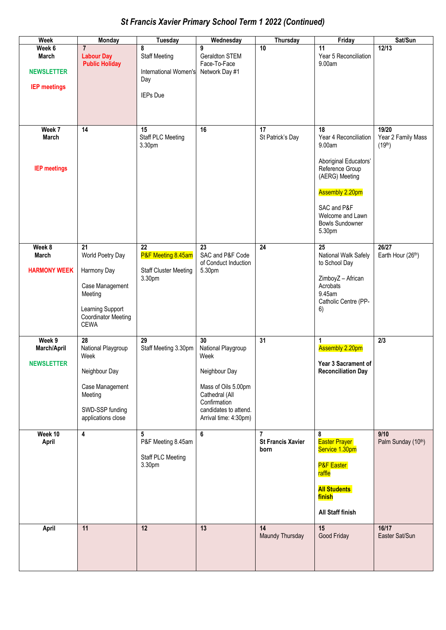# *St Francis Xavier Primary School Term 1 2022 (Continued)*

| Week                | <b>Monday</b>                                  | <b>Tuesday</b>                     | Wednesday                                      | <b>Thursday</b>               | Friday                                     | Sat/Sun                                   |
|---------------------|------------------------------------------------|------------------------------------|------------------------------------------------|-------------------------------|--------------------------------------------|-------------------------------------------|
| Week 6              | $\overline{7}$                                 | 8                                  | 9                                              | $\overline{10}$               | 11                                         | 12/13                                     |
| <b>March</b>        | <b>Labour Day</b><br><b>Public Holiday</b>     | <b>Staff Meeting</b>               | Geraldton STEM<br>Face-To-Face                 |                               | Year 5 Reconciliation<br>9.00am            |                                           |
| <b>NEWSLETTER</b>   |                                                | <b>International Women's</b>       | Network Day #1                                 |                               |                                            |                                           |
| <b>IEP meetings</b> |                                                | Day                                |                                                |                               |                                            |                                           |
|                     |                                                | <b>IEPs Due</b>                    |                                                |                               |                                            |                                           |
|                     |                                                |                                    |                                                |                               |                                            |                                           |
|                     |                                                |                                    |                                                |                               |                                            |                                           |
| Week 7<br>March     | 14                                             | 15                                 | 16                                             | 17                            | 18<br>Year 4 Reconciliation                | 19/20                                     |
|                     |                                                | <b>Staff PLC Meeting</b><br>3.30pm |                                                | St Patrick's Day              | 9.00am                                     | Year 2 Family Mass<br>(19 <sup>th</sup> ) |
|                     |                                                |                                    |                                                |                               |                                            |                                           |
| <b>IEP meetings</b> |                                                |                                    |                                                |                               | Aboriginal Educators'<br>Reference Group   |                                           |
|                     |                                                |                                    |                                                |                               | (AERG) Meeting                             |                                           |
|                     |                                                |                                    |                                                |                               | <b>Assembly 2.20pm</b>                     |                                           |
|                     |                                                |                                    |                                                |                               | SAC and P&F                                |                                           |
|                     |                                                |                                    |                                                |                               | Welcome and Lawn<br><b>Bowls Sundowner</b> |                                           |
|                     |                                                |                                    |                                                |                               | 5.30pm                                     |                                           |
| Week 8              | 21                                             | 22                                 | 23                                             | $\overline{24}$               | 25                                         | 26/27                                     |
| March               | World Poetry Day                               | P&F Meeting 8.45am                 | SAC and P&F Code                               |                               | National Walk Safely                       | Earth Hour (26th)                         |
| <b>HARMONY WEEK</b> | Harmony Day                                    | <b>Staff Cluster Meeting</b>       | of Conduct Induction<br>5.30pm                 |                               | to School Day                              |                                           |
|                     |                                                | 3.30pm                             |                                                |                               | ZimboyZ - African                          |                                           |
|                     | Case Management<br>Meeting                     |                                    |                                                |                               | Acrobats<br>9.45am                         |                                           |
|                     |                                                |                                    |                                                |                               | Catholic Centre (PP-                       |                                           |
|                     | Learning Support<br><b>Coordinator Meeting</b> |                                    |                                                |                               | 6)                                         |                                           |
|                     | <b>CEWA</b>                                    |                                    |                                                |                               |                                            |                                           |
| Week 9              | 28                                             | 29                                 | 30                                             | 31                            | 1                                          | 2/3                                       |
| March/April         | National Playgroup<br>Week                     | Staff Meeting 3.30pm               | National Playgroup<br>Week                     |                               | Assembly 2.20pm                            |                                           |
| <b>NEWSLETTER</b>   |                                                |                                    |                                                |                               | Year 3 Sacrament of                        |                                           |
|                     | Neighbour Day                                  |                                    | Neighbour Day                                  |                               | <b>Reconciliation Day</b>                  |                                           |
|                     | Case Management<br>Meeting                     |                                    | Mass of Oils 5.00pm<br>Cathedral (All          |                               |                                            |                                           |
|                     |                                                |                                    | Confirmation                                   |                               |                                            |                                           |
|                     | SWD-SSP funding<br>applications close          |                                    | candidates to attend.<br>Arrival time: 4:30pm) |                               |                                            |                                           |
|                     |                                                |                                    |                                                |                               |                                            |                                           |
| Week 10<br>April    | $\overline{\mathbf{4}}$                        | 5<br>P&F Meeting 8.45am            | 6                                              | 7<br><b>St Francis Xavier</b> | 8<br><b>Easter Prayer</b>                  | 9/10<br>Palm Sunday (10th)                |
|                     |                                                | Staff PLC Meeting                  |                                                | born                          | Service 1.30pm                             |                                           |
|                     |                                                | 3.30pm                             |                                                |                               | <b>P&amp;F</b> Easter<br>raffle            |                                           |
|                     |                                                |                                    |                                                |                               | <b>All Students</b>                        |                                           |
|                     |                                                |                                    |                                                |                               | <b>finish</b>                              |                                           |
|                     |                                                |                                    |                                                |                               | All Staff finish                           |                                           |
| April               | 11                                             | $\overline{12}$                    | 13                                             | 14                            | 15                                         | 16/17                                     |
|                     |                                                |                                    |                                                | Maundy Thursday               | Good Friday                                | Easter Sat/Sun                            |
|                     |                                                |                                    |                                                |                               |                                            |                                           |
|                     |                                                |                                    |                                                |                               |                                            |                                           |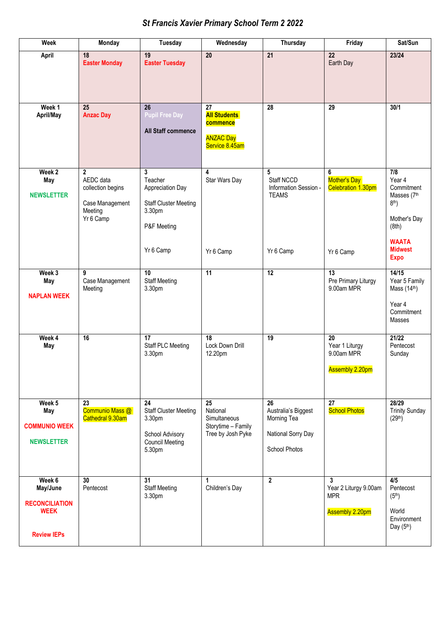## *St Francis Xavier Primary School Term 2 2022*

| <b>Week</b>                                                                      | <b>Monday</b>                                                                  | <b>Tuesday</b>                                                                                         | Wednesday                                                                              | Thursday                                                                               | Friday                                                                    | Sat/Sun                                                                                                                         |
|----------------------------------------------------------------------------------|--------------------------------------------------------------------------------|--------------------------------------------------------------------------------------------------------|----------------------------------------------------------------------------------------|----------------------------------------------------------------------------------------|---------------------------------------------------------------------------|---------------------------------------------------------------------------------------------------------------------------------|
| April                                                                            | 18<br><b>Easter Monday</b>                                                     | 19<br><b>Easter Tuesday</b>                                                                            | 20                                                                                     | 21                                                                                     | $\overline{22}$<br>Earth Day                                              | 23/24                                                                                                                           |
| Week 1<br>April/May                                                              | 25<br><b>Anzac Day</b>                                                         | $\overline{26}$<br><b>Pupil Free Day</b><br>All Staff commence                                         | 27<br><b>All Students</b><br>commence<br><b>ANZAC Day</b><br>Service 8.45am            | $\overline{28}$                                                                        | $\overline{29}$                                                           | 30/1                                                                                                                            |
| Week <sub>2</sub><br>May<br><b>NEWSLETTER</b>                                    | 2<br>AEDC data<br>collection begins<br>Case Management<br>Meeting<br>Yr 6 Camp | 3<br>Teacher<br>Appreciation Day<br><b>Staff Cluster Meeting</b><br>3.30pm<br>P&F Meeting<br>Yr 6 Camp | 4<br>Star Wars Day<br>Yr 6 Camp                                                        | 5<br>Staff NCCD<br>Information Session -<br><b>TEAMS</b><br>Yr 6 Camp                  | 6<br>Mother's Day<br>Celebration 1.30pm<br>Yr 6 Camp                      | 7/8<br>Year 4<br>Commitment<br>Masses (7th<br>$8th$ )<br>Mother's Day<br>(8th)<br><b>WAATA</b><br><b>Midwest</b><br><b>Expo</b> |
| Week 3<br>May<br><b>NAPLAN WEEK</b>                                              | 9<br>Case Management<br>Meeting                                                | 10<br><b>Staff Meeting</b><br>3.30pm                                                                   | $\overline{11}$                                                                        | $\overline{12}$                                                                        | 13<br>Pre Primary Liturgy<br>9.00am MPR                                   | 14/15<br>Year 5 Family<br>Mass $(14th)$<br>Year 4<br>Commitment<br>Masses                                                       |
| Week 4<br>May                                                                    | 16                                                                             | 17<br><b>Staff PLC Meeting</b><br>3.30pm                                                               | 18<br>Lock Down Drill<br>12.20pm                                                       | 19                                                                                     | $\overline{20}$<br>Year 1 Liturgy<br>9.00am MPR<br><b>Assembly 2.20pm</b> | 21/22<br>Pentecost<br>Sunday                                                                                                    |
| Week 5<br>May<br><b>COMMUNIO WEEK</b><br><b>NEWSLETTER</b>                       | 23<br>Communio Mass @<br>Cathedral 9.30am                                      | 24<br><b>Staff Cluster Meeting</b><br>3.30pm<br>School Advisory<br><b>Council Meeting</b><br>5.30pm    | $\overline{25}$<br>National<br>Simultaneous<br>Storytime - Family<br>Tree by Josh Pyke | 26<br>Australia's Biggest<br>Morning Tea<br>National Sorry Day<br><b>School Photos</b> | $\overline{27}$<br><b>School Photos</b>                                   | 28/29<br><b>Trinity Sunday</b><br>(29 <sup>th</sup> )                                                                           |
| Week 6<br>May/June<br><b>RECONCILIATION</b><br><b>WEEK</b><br><b>Review IEPs</b> | 30<br>Pentecost                                                                | 31<br><b>Staff Meeting</b><br>3.30pm                                                                   | 1<br>Children's Day                                                                    | $\overline{2}$                                                                         | 3<br>Year 2 Liturgy 9.00am<br><b>MPR</b><br><b>Assembly 2.20pm</b>        | 4/5<br>Pentecost<br>(5 <sup>th</sup> )<br>World<br>Environment<br>Day $(5th)$                                                   |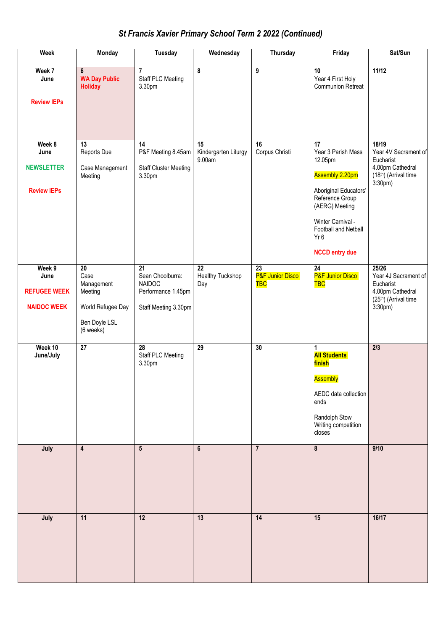## *St Francis Xavier Primary School Term 2 2022 (Continued)*

| <b>Week</b>                                                 | Monday                                                                                              | <b>Tuesday</b>                                                                                     | Wednesday                                  | Thursday                                          | Friday                                                                                                                                                                                                                     | Sat/Sun                                                                                              |
|-------------------------------------------------------------|-----------------------------------------------------------------------------------------------------|----------------------------------------------------------------------------------------------------|--------------------------------------------|---------------------------------------------------|----------------------------------------------------------------------------------------------------------------------------------------------------------------------------------------------------------------------------|------------------------------------------------------------------------------------------------------|
| Week 7<br>June<br><b>Review IEPs</b>                        | $6\phantom{a}$<br><b>WA Day Public</b><br><b>Holiday</b>                                            | $\overline{7}$<br>Staff PLC Meeting<br>3.30pm                                                      | 8                                          | $\overline{9}$                                    | 10<br>Year 4 First Holy<br><b>Communion Retreat</b>                                                                                                                                                                        | 11/12                                                                                                |
| Week 8<br>June<br><b>NEWSLETTER</b><br><b>Review IEPs</b>   | 13<br>Reports Due<br>Case Management<br>Meeting                                                     | 14<br>P&F Meeting 8.45am<br><b>Staff Cluster Meeting</b><br>3.30pm                                 | 15<br>Kindergarten Liturgy<br>9.00am       | 16<br>Corpus Christi                              | $\overline{17}$<br>Year 3 Parish Mass<br>12.05pm<br>Assembly 2.20pm<br>Aboriginal Educators'<br>Reference Group<br>(AERG) Meeting<br>Winter Carnival -<br>Football and Netball<br>Yr <sub>6</sub><br><b>NCCD entry due</b> | 18/19<br>Year 4V Sacrament of<br>Eucharist<br>4.00pm Cathedral<br>(18th) (Arrival time<br>$3:30pm$ ) |
| Week 9<br>June<br><b>REFUGEE WEEK</b><br><b>NAIDOC WEEK</b> | $\overline{20}$<br>Case<br>Management<br>Meeting<br>World Refugee Day<br>Ben Doyle LSL<br>(6 weeks) | $\overline{21}$<br>Sean Choolburra:<br><b>NAIDOC</b><br>Performance 1.45pm<br>Staff Meeting 3.30pm | $\overline{22}$<br>Healthy Tuckshop<br>Day | $\overline{23}$<br>P&F Junior Disco<br><b>TBC</b> | $\overline{24}$<br><b>P&amp;F Junior Disco</b><br><b>TBC</b>                                                                                                                                                               | 25/26<br>Year 4J Sacrament of<br>Eucharist<br>4.00pm Cathedral<br>(25th) (Arrival time<br>3:30pm)    |
| Week 10<br>June/July                                        | $\overline{27}$                                                                                     | 28<br><b>Staff PLC Meeting</b><br>3.30pm                                                           | $\overline{29}$                            | 30                                                | 1<br><b>All Students</b><br>finish<br><b>Assembly</b><br>AEDC data collection<br>ends<br>Randolph Stow<br>Writing competition<br>closes                                                                                    | $\overline{2/3}$                                                                                     |
| July                                                        | $\overline{\mathbf{4}}$                                                                             | $5\phantom{.0}$                                                                                    | $6\phantom{a}$                             | $\overline{7}$                                    | $\pmb{8}$                                                                                                                                                                                                                  | 9/10                                                                                                 |
| July                                                        | 11                                                                                                  | 12                                                                                                 | 13                                         | 14                                                | 15                                                                                                                                                                                                                         | 16/17                                                                                                |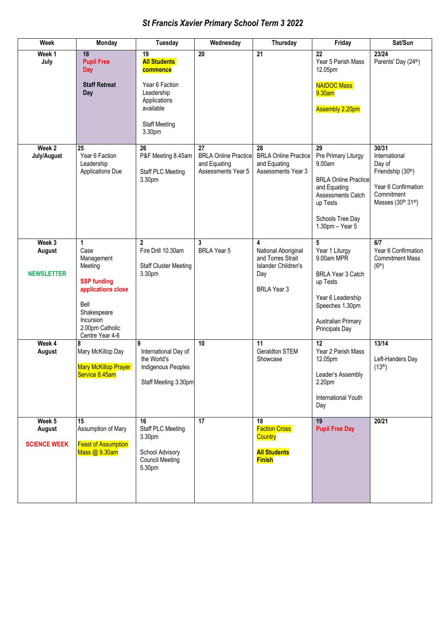## *St Francis Xavier Primary School Term 3 2022*

| Week                        | Monday                                                                                                             | <b>Tuesday</b>                                                                              | Wednesday                                                                      | Thursday                                                                      | Friday                                                                                                                                                     | Sat/Sun                                                                                                          |
|-----------------------------|--------------------------------------------------------------------------------------------------------------------|---------------------------------------------------------------------------------------------|--------------------------------------------------------------------------------|-------------------------------------------------------------------------------|------------------------------------------------------------------------------------------------------------------------------------------------------------|------------------------------------------------------------------------------------------------------------------|
| Week 1<br>July              | 18<br><b>Pupil Free</b><br><b>Day</b>                                                                              | 19<br><b>All Students</b><br>commence                                                       | 20                                                                             | $\overline{21}$                                                               | 22<br>Year 5 Parish Mass<br>12.05pm                                                                                                                        | 23/24<br>Parents' Day (24th)                                                                                     |
|                             | <b>Staff Retreat</b><br>Day                                                                                        | Year 6 Faction<br>Leadership<br>Applications<br>available<br><b>Staff Meeting</b><br>3.30pm |                                                                                |                                                                               | <b>NAIDOC Mass</b><br>9.30am<br><b>Assembly 2.20pm</b>                                                                                                     |                                                                                                                  |
|                             |                                                                                                                    |                                                                                             |                                                                                |                                                                               |                                                                                                                                                            |                                                                                                                  |
| Week 2<br>July/August       | 25<br>Year 6 Faction<br>Leadership<br><b>Applications Due</b>                                                      | $\overline{26}$<br>P&F Meeting 8.45am<br>Staff PLC Meeting<br>3.30pm                        | 27<br><b>BRLA Online Practice</b><br>and Equating<br><b>Assessments Year 5</b> | 28<br><b>BRLA Online Practice</b><br>and Equating<br>Assessments Year 3       | 29<br>Pre Primary Liturgy<br>9.00am<br><b>BRLA Online Practice</b><br>and Equating<br>Assessments Catch<br>up Tests<br>Schools Tree Day<br>1.30pm - Year 5 | 30/31<br>International<br>Day of<br>Friendship (30th)<br>Year 6 Confirmation<br>Commitment<br>Masses (30th 31st) |
| Week 3                      | 1                                                                                                                  | $\mathbf{2}$                                                                                | 3                                                                              | 4                                                                             | 5                                                                                                                                                          | 6/7                                                                                                              |
| August<br><b>NEWSLETTER</b> | Case<br>Management<br>Meeting                                                                                      | Fire Drill 10.30am<br><b>Staff Cluster Meeting</b><br>3.30pm                                | <b>BRLA Year 5</b>                                                             | National Aboriginal<br>and Torres Strait<br><b>Islander Children's</b><br>Day | Year 1 Liturgy<br>9.00am MPR<br>BRLA Year 3 Catch                                                                                                          | Year 6 Confirmation<br><b>Commitment Mass</b><br>(6 <sup>th</sup> )                                              |
|                             | <b>SSP funding</b><br>applications close<br>Bell<br>Shakespeare<br>Incursion<br>2.00pm Catholic<br>Centre Year 4-6 |                                                                                             |                                                                                | <b>BRLA Year 3</b>                                                            | up Tests<br>Year 6 Leadership<br>Speeches 1.30pm<br>Australian Primary<br>Principals Day                                                                   |                                                                                                                  |
| Week 4<br>August            | 8<br>Mary McKillop Day<br><b>Mary McKillop Prayer</b><br>Service 8.45am                                            | 9<br>International Day of<br>the World's<br>Indigenous Peoples<br>Staff Meeting 3.30pm      | 10                                                                             | 11<br>Geraldton STEM<br>Showcase                                              | 12<br>Year 2 Parish Mass<br>12.05pm<br>Leader's Assembly<br>2.20pm<br>International Youth                                                                  | 13/14<br>Left-Handers Day<br>(13 <sup>th</sup> )                                                                 |
|                             |                                                                                                                    |                                                                                             |                                                                                |                                                                               | Day                                                                                                                                                        |                                                                                                                  |
| Week 5<br>August            | 15<br>Assumption of Mary                                                                                           | 16<br><b>Staff PLC Meeting</b><br>3.30pm                                                    | $\overline{17}$                                                                | 18<br><b>Faction Cross</b><br><b>Country</b>                                  | 19<br><b>Pupil Free Day</b>                                                                                                                                | 20/21                                                                                                            |
| <b>SCIENCE WEEK</b>         | <b>Feast of Assumption</b><br>Mass @ 9.30am                                                                        | School Advisory<br><b>Council Meeting</b><br>5.30pm                                         |                                                                                | <b>All Students</b><br><b>Finish</b>                                          |                                                                                                                                                            |                                                                                                                  |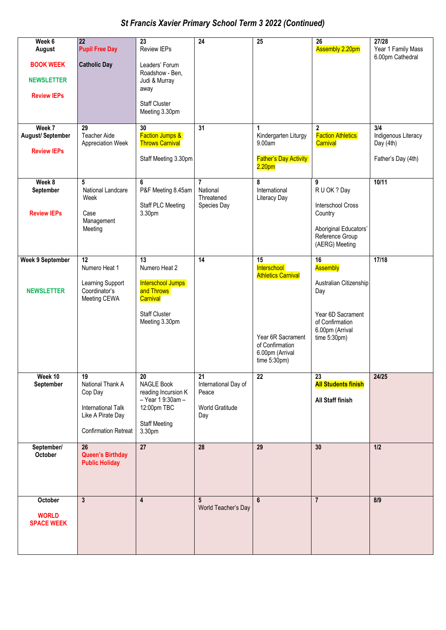# *St Francis Xavier Primary School Term 3 2022 (Continued)*

| Week 6<br>August                                            | 22<br><b>Pupil Free Day</b>                                                                                        | 23<br>Review IEPs                                                                                                        | $\overline{24}$                                                            | 25                                                                                                                                   | 26<br><b>Assembly 2.20pm</b>                                                                                                  | 27/28<br>Year 1 Family Mass                                   |
|-------------------------------------------------------------|--------------------------------------------------------------------------------------------------------------------|--------------------------------------------------------------------------------------------------------------------------|----------------------------------------------------------------------------|--------------------------------------------------------------------------------------------------------------------------------------|-------------------------------------------------------------------------------------------------------------------------------|---------------------------------------------------------------|
| <b>BOOK WEEK</b><br><b>NEWSLETTER</b><br><b>Review IEPs</b> | <b>Catholic Day</b>                                                                                                | Leaders' Forum<br>Roadshow - Ben,<br>Judi & Murray<br>away<br><b>Staff Cluster</b><br>Meeting 3.30pm                     |                                                                            |                                                                                                                                      |                                                                                                                               | 6.00pm Cathedral                                              |
| Week 7<br><b>August/September</b><br><b>Review IEPs</b>     | 29<br><b>Teacher Aide</b><br>Appreciation Week                                                                     | $\overline{30}$<br><b>Faction Jumps &amp;</b><br><b>Throws Carnival</b><br>Staff Meeting 3.30pm                          | $\overline{31}$                                                            | $\mathbf{1}$<br>Kindergarten Liturgy<br>9.00am<br><b>Father's Day Activity</b><br>2.20 <sub>pm</sub>                                 | $\mathbf{2}$<br><b>Faction Athletics</b><br>Carnival                                                                          | 3/4<br>Indigenous Literacy<br>Day (4th)<br>Father's Day (4th) |
| Week 8<br>September<br><b>Review IEPs</b>                   | 5<br>National Landcare<br>Week<br>Case<br>Management<br>Meeting                                                    | 6<br>P&F Meeting 8.45am<br><b>Staff PLC Meeting</b><br>3.30pm                                                            | $\overline{7}$<br>National<br>Threatened<br>Species Day                    | 8<br>International<br>Literacy Day                                                                                                   | 9<br>R U OK ? Day<br><b>Interschool Cross</b><br>Country<br>Aboriginal Educators'<br>Reference Group<br>(AERG) Meeting        | 10/11                                                         |
| <b>Week 9 September</b><br><b>NEWSLETTER</b>                | 12<br>Numero Heat 1<br>Learning Support<br>Coordinator's<br>Meeting CEWA                                           | 13<br>Numero Heat 2<br>Interschool Jumps<br>and Throws<br>Carnival<br><b>Staff Cluster</b><br>Meeting 3.30pm             | 14                                                                         | 15<br>Interschool<br><b>Athletics Carnival</b><br>Year 6R Sacrament<br>of Confirmation<br>6.00pm (Arrival<br>time $5:30 \text{pm}$ ) | 16<br>Assembly<br>Australian Citizenship<br>Day<br>Year 6D Sacrament<br>of Confirmation<br>6.00pm (Arrival<br>time $5:30$ pm) | 17/18                                                         |
| Week 10<br>September                                        | 19<br>National Thank A<br>Cop Day<br><b>International Talk</b><br>Like A Pirate Day<br><b>Confirmation Retreat</b> | $20\,$<br><b>NAGLE Book</b><br>reading Incursion K<br>- Year 1 9:30am -<br>12:00pm TBC<br><b>Staff Meeting</b><br>3.30pm | $\overline{21}$<br>International Day of<br>Peace<br>World Gratitude<br>Day | 22                                                                                                                                   | 23<br><b>All Students finish</b><br>All Staff finish                                                                          | 24/25                                                         |
| September/<br>October                                       | 26<br><b>Queen's Birthday</b><br><b>Public Holiday</b>                                                             | 27                                                                                                                       | 28                                                                         | 29                                                                                                                                   | 30                                                                                                                            | 1/2                                                           |
| October<br><b>WORLD</b><br><b>SPACE WEEK</b>                | $\overline{3}$                                                                                                     | $\overline{\mathbf{4}}$                                                                                                  | $5\phantom{.0}$<br>World Teacher's Day                                     | $6\phantom{1}$                                                                                                                       | $\overline{7}$                                                                                                                | 8/9                                                           |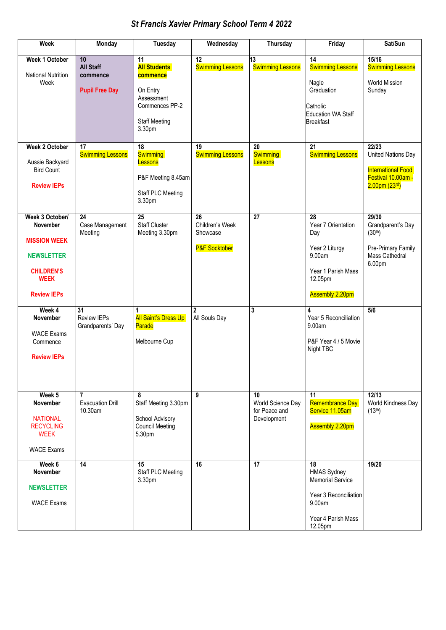# *St Francis Xavier Primary School Term 4 2022*

| <b>Week</b>                                                                                                                              | Monday                                                      | <b>Tuesday</b>                                                                                                      | Wednesday                                                     | <b>Thursday</b>                                         | Friday                                                                                                                  | Sat/Sun                                                                                                         |
|------------------------------------------------------------------------------------------------------------------------------------------|-------------------------------------------------------------|---------------------------------------------------------------------------------------------------------------------|---------------------------------------------------------------|---------------------------------------------------------|-------------------------------------------------------------------------------------------------------------------------|-----------------------------------------------------------------------------------------------------------------|
| Week 1 October<br><b>National Nutrition</b><br>Week                                                                                      | 10<br><b>All Staff</b><br>commence<br><b>Pupil Free Day</b> | 11<br><b>All Students</b><br>commence<br>On Entry<br>Assessment<br>Commences PP-2<br><b>Staff Meeting</b><br>3.30pm | $\overline{12}$<br><b>Swimming Lessons</b>                    | 13<br><b>Swimming Lessons</b>                           | 14<br><b>Swimming Lessons</b><br>Nagle<br>Graduation<br>Catholic<br><b>Education WA Staff</b><br><b>Breakfast</b>       | 15/16<br><b>Swimming Lessons</b><br><b>World Mission</b><br>Sunday                                              |
| <b>Week 2 October</b><br>Aussie Backyard<br><b>Bird Count</b><br><b>Review IEPs</b>                                                      | 17<br><b>Swimming Lessons</b>                               | 18<br><b>Swimming</b><br>Lessons<br>P&F Meeting 8.45am<br><b>Staff PLC Meeting</b><br>3.30pm                        | 19<br><b>Swimming Lessons</b>                                 | 20<br><b>Swimming</b><br>Lessons                        | 21<br><b>Swimming Lessons</b>                                                                                           | 22/23<br>United Nations Day<br><b>International Food</b><br>Festival 10.00am -<br>$2.00$ pm (23 <sup>rd</sup> ) |
| Week 3 October/<br><b>November</b><br><b>MISSION WEEK</b><br><b>NEWSLETTER</b><br><b>CHILDREN'S</b><br><b>WEEK</b><br><b>Review IEPs</b> | 24<br>Case Management<br>Meeting                            | $\overline{25}$<br><b>Staff Cluster</b><br>Meeting 3.30pm                                                           | 26<br>Children's Week<br>Showcase<br><b>P&amp;F Socktober</b> | 27                                                      | 28<br>Year 7 Orientation<br>Day<br>Year 2 Liturgy<br>9.00am<br>Year 1 Parish Mass<br>12.05pm<br><b>Assembly 2.20pm</b>  | 29/30<br>Grandparent's Day<br>(30 <sup>th</sup> )<br>Pre-Primary Family<br>Mass Cathedral<br>6.00pm             |
| Week 4<br><b>November</b><br><b>WACE Exams</b><br>Commence<br><b>Review IEPs</b>                                                         | 31<br><b>Review IEPs</b><br>Grandparents' Day               | 1<br><b>All Saint's Dress Up</b><br>Parade<br>Melbourne Cup                                                         | $\overline{2}$<br>All Souls Day                               | $\mathbf{3}$                                            | Year 5 Reconciliation<br>9.00am<br>P&F Year 4 / 5 Movie<br>Night TBC                                                    | 5/6                                                                                                             |
| Week 5<br><b>November</b><br><b>NATIONAL</b><br><b>RECYCLING</b><br><b>WEEK</b><br><b>WACE Exams</b>                                     | $\overline{7}$<br><b>Evacuation Drill</b><br>10.30am        | 8<br>Staff Meeting 3.30pm<br>School Advisory<br><b>Council Meeting</b><br>5.30pm                                    | 9                                                             | 10<br>World Science Day<br>for Peace and<br>Development | 11<br><b>Remembrance Day</b><br>Service 11.05am<br><b>Assembly 2.20pm</b>                                               | 12/13<br>World Kindness Day<br>(13 <sup>th</sup> )                                                              |
| Week 6<br><b>November</b><br><b>NEWSLETTER</b><br><b>WACE Exams</b>                                                                      | 14                                                          | 15<br><b>Staff PLC Meeting</b><br>3.30pm                                                                            | 16                                                            | 17                                                      | 18<br><b>HMAS Sydney</b><br><b>Memorial Service</b><br>Year 3 Reconciliation<br>9.00am<br>Year 4 Parish Mass<br>12.05pm | 19/20                                                                                                           |